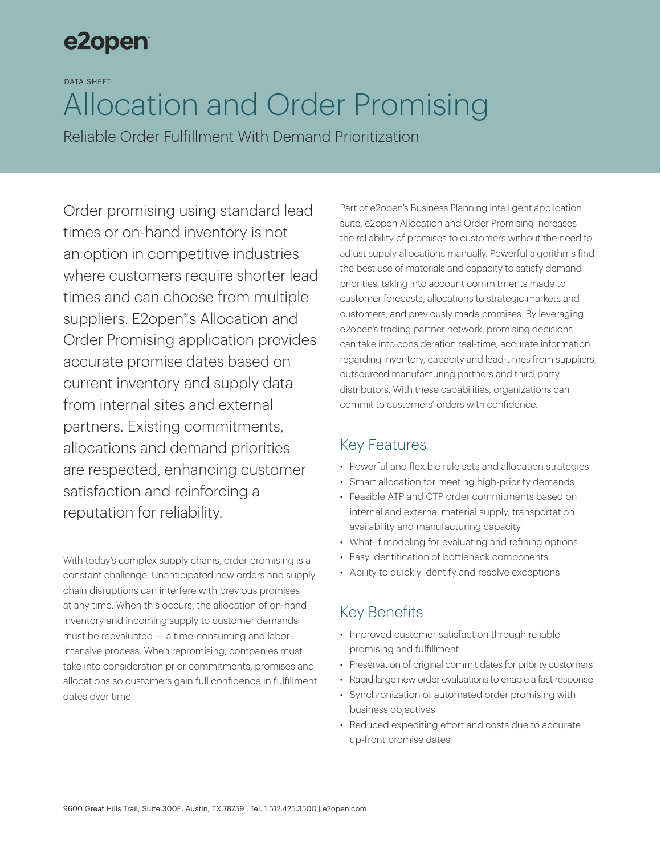## e2open

DATA SHEET

# Allocation and Order Promising

Reliable Order Fulfillment With Demand Prioritization

Order promising using standard lead times or on-hand inventory is not an option in competitive industries where customers require shorter lead times and can choose from multiple suppliers. E2open<sup>®'</sup>s Allocation and Order Promising application provides accurate promise dates based on current inventory and supply data from internal sites and external partners. Existing commitments, allocations and demand priorities are respected, enhancing customer satisfaction and reinforcing a reputation for reliability.

With today's complex supply chains, order promising is a constant challenge. Unanticipated new orders and supply chain disruptions can interfere with previous promises at any time. When this occurs, the allocation of on-hand inventory and incoming supply to customer demands must be reevaluated — a time-consuming and laborintensive process. When repromising, companies must take into consideration prior commitments, promises and allocations so customers gain full confidence in fulfillment dates over time.

Part of e2open's Business Planning intelligent application suite, e2open Allocation and Order Promising increases the reliability of promises to customers without the need to adjust supply allocations manually. Powerful algorithms find the best use of materials and capacity to satisfy demand priorities, taking into account commitments made to customer forecasts, allocations to strategic markets and customers, and previously made promises. By leveraging e2open's trading partner network, promising decisions can take into consideration real-time, accurate information regarding inventory, capacity and lead-times from suppliers, outsourced manufacturing partners and third-party distributors. With these capabilities, organizations can commit to customers' orders with confidence.

## Key Features

- Powerful and flexible rule sets and allocation strategies
- Smart allocation for meeting high-priority demands
- Feasible ATP and CTP order commitments based on internal and external material supply, transportation availability and manufacturing capacity
- What-if modeling for evaluating and refining options
- Easy identification of bottleneck components
- Ability to quickly identify and resolve exceptions

## Key Benefits

- Improved customer satisfaction through reliable promising and fulfillment
- Preservation of original commit dates for priority customers
- Rapid large new order evaluations to enable a fast response
- Synchronization of automated order promising with business objectives
- Reduced expediting effort and costs due to accurate up-front promise dates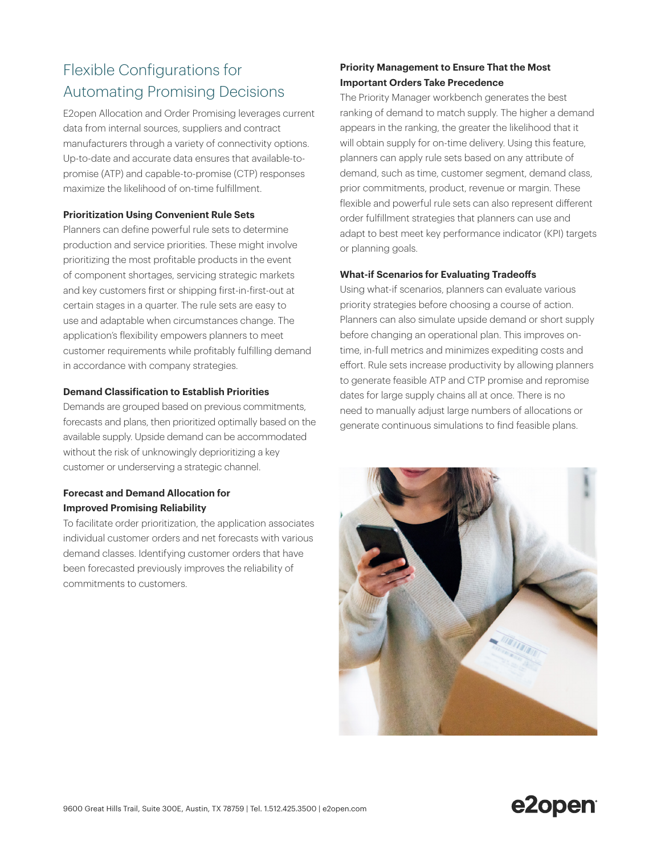## Flexible Configurations for Automating Promising Decisions

E2open Allocation and Order Promising leverages current data from internal sources, suppliers and contract manufacturers through a variety of connectivity options. Up-to-date and accurate data ensures that available-topromise (ATP) and capable-to-promise (CTP) responses maximize the likelihood of on-time fulfillment.

#### **Prioritization Using Convenient Rule Sets**

Planners can define powerful rule sets to determine production and service priorities. These might involve prioritizing the most profitable products in the event of component shortages, servicing strategic markets and key customers first or shipping first-in-first-out at certain stages in a quarter. The rule sets are easy to use and adaptable when circumstances change. The application's flexibility empowers planners to meet customer requirements while profitably fulfilling demand in accordance with company strategies.

#### **Demand Classification to Establish Priorities**

Demands are grouped based on previous commitments, forecasts and plans, then prioritized optimally based on the available supply. Upside demand can be accommodated without the risk of unknowingly deprioritizing a key customer or underserving a strategic channel.

#### **Forecast and Demand Allocation for Improved Promising Reliability**

To facilitate order prioritization, the application associates individual customer orders and net forecasts with various demand classes. Identifying customer orders that have been forecasted previously improves the reliability of commitments to customers.

#### **Priority Management to Ensure That the Most Important Orders Take Precedence**

The Priority Manager workbench generates the best ranking of demand to match supply. The higher a demand appears in the ranking, the greater the likelihood that it will obtain supply for on-time delivery. Using this feature, planners can apply rule sets based on any attribute of demand, such as time, customer segment, demand class, prior commitments, product, revenue or margin. These flexible and powerful rule sets can also represent different order fulfillment strategies that planners can use and adapt to best meet key performance indicator (KPI) targets or planning goals.

#### **What-if Scenarios for Evaluating Tradeoffs**

Using what-if scenarios, planners can evaluate various priority strategies before choosing a course of action. Planners can also simulate upside demand or short supply before changing an operational plan. This improves ontime, in-full metrics and minimizes expediting costs and effort. Rule sets increase productivity by allowing planners to generate feasible ATP and CTP promise and repromise dates for large supply chains all at once. There is no need to manually adjust large numbers of allocations or generate continuous simulations to find feasible plans.